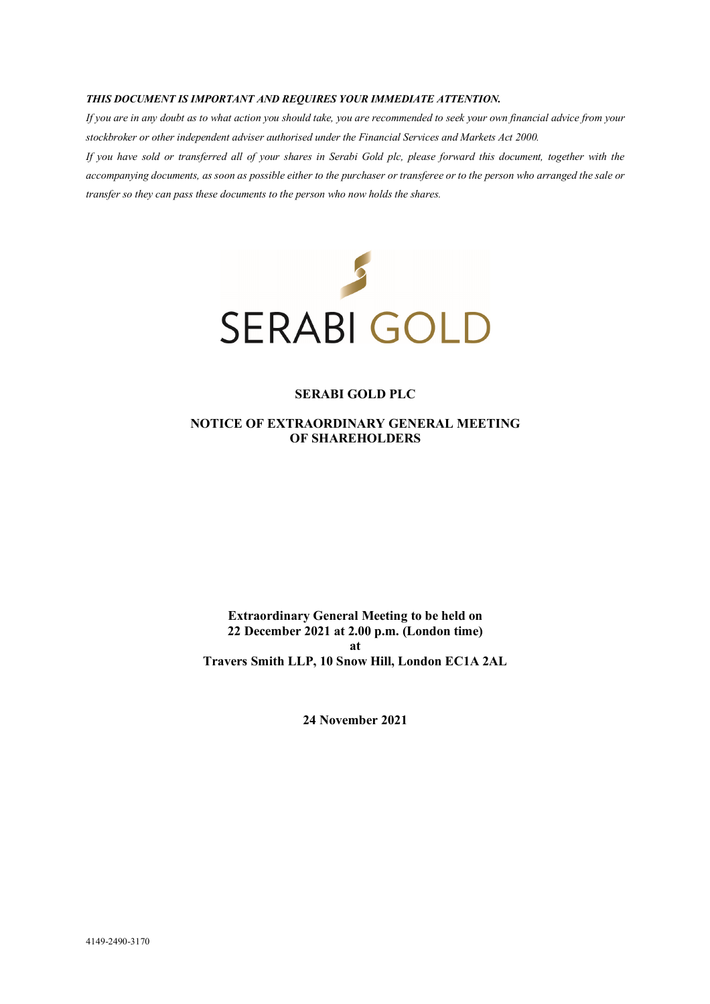#### *THIS DOCUMENT IS IMPORTANT AND REQUIRES YOUR IMMEDIATE ATTENTION.*

*If you are in any doubt as to what action you should take, you are recommended to seek your own financial advice from your stockbroker or other independent adviser authorised under the Financial Services and Markets Act 2000.* 

*If you have sold or transferred all of your shares in Serabi Gold plc, please forward this document, together with the accompanying documents, as soon as possible either to the purchaser or transferee or to the person who arranged the sale or transfer so they can pass these documents to the person who now holds the shares.* 



#### **SERABI GOLD PLC**

**NOTICE OF EXTRAORDINARY GENERAL MEETING OF SHAREHOLDERS** 

**Extraordinary General Meeting to be held on 22 December 2021 at 2.00 p.m. (London time) at Travers Smith LLP, 10 Snow Hill, London EC1A 2AL** 

**24 November 2021**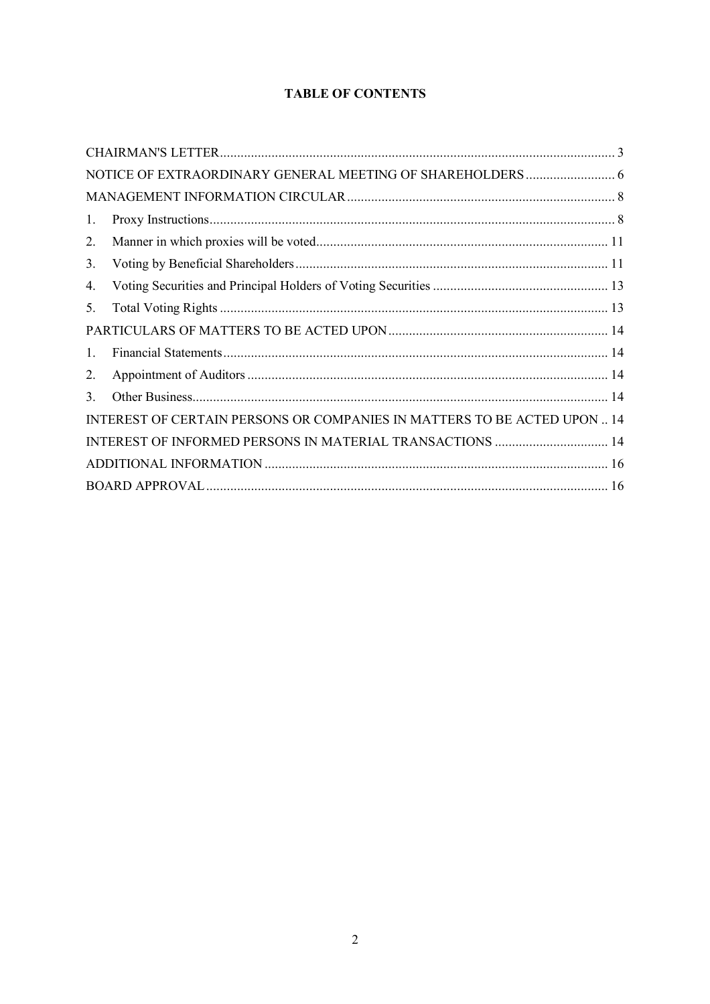# **TABLE OF CONTENTS**

| 1.                                                                       |  |
|--------------------------------------------------------------------------|--|
| 2.                                                                       |  |
| 3.                                                                       |  |
| 4.                                                                       |  |
| 5.                                                                       |  |
|                                                                          |  |
| $\mathbf{1}$ .                                                           |  |
| 2.                                                                       |  |
| 3.                                                                       |  |
| INTEREST OF CERTAIN PERSONS OR COMPANIES IN MATTERS TO BE ACTED UPON  14 |  |
| INTEREST OF INFORMED PERSONS IN MATERIAL TRANSACTIONS  14                |  |
|                                                                          |  |
|                                                                          |  |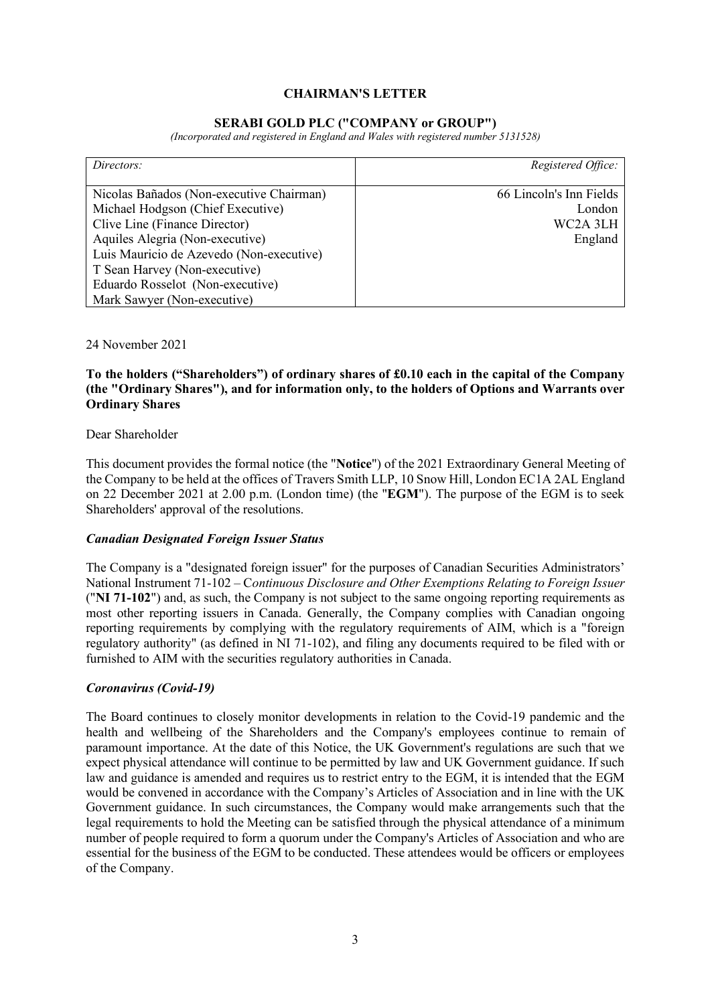## **CHAIRMAN'S LETTER**

### **SERABI GOLD PLC ("COMPANY or GROUP")**

*(Incorporated and registered in England and Wales with registered number 5131528)* 

| Directors:                               | Registered Office:      |
|------------------------------------------|-------------------------|
|                                          |                         |
| Nicolas Bañados (Non-executive Chairman) | 66 Lincoln's Inn Fields |
| Michael Hodgson (Chief Executive)        | London                  |
| Clive Line (Finance Director)            | WC2A 3LH                |
| Aquiles Alegria (Non-executive)          | England                 |
| Luis Mauricio de Azevedo (Non-executive) |                         |
| T Sean Harvey (Non-executive)            |                         |
| Eduardo Rosselot (Non-executive)         |                         |
| Mark Sawyer (Non-executive)              |                         |

24 November 2021

## **To the holders ("Shareholders") of ordinary shares of £0.10 each in the capital of the Company (the "Ordinary Shares"), and for information only, to the holders of Options and Warrants over Ordinary Shares**

#### Dear Shareholder

This document provides the formal notice (the "**Notice**") of the 2021 Extraordinary General Meeting of the Company to be held at the offices of Travers Smith LLP, 10 Snow Hill, London EC1A 2AL England on 22 December 2021 at 2.00 p.m. (London time) (the "**EGM**"). The purpose of the EGM is to seek Shareholders' approval of the resolutions.

#### *Canadian Designated Foreign Issuer Status*

The Company is a "designated foreign issuer" for the purposes of Canadian Securities Administrators' National Instrument 71-102 – C*ontinuous Disclosure and Other Exemptions Relating to Foreign Issuer* ("**NI 71-102**") and, as such, the Company is not subject to the same ongoing reporting requirements as most other reporting issuers in Canada. Generally, the Company complies with Canadian ongoing reporting requirements by complying with the regulatory requirements of AIM, which is a "foreign regulatory authority" (as defined in NI 71-102), and filing any documents required to be filed with or furnished to AIM with the securities regulatory authorities in Canada.

#### *Coronavirus (Covid-19)*

The Board continues to closely monitor developments in relation to the Covid-19 pandemic and the health and wellbeing of the Shareholders and the Company's employees continue to remain of paramount importance. At the date of this Notice, the UK Government's regulations are such that we expect physical attendance will continue to be permitted by law and UK Government guidance. If such law and guidance is amended and requires us to restrict entry to the EGM, it is intended that the EGM would be convened in accordance with the Company's Articles of Association and in line with the UK Government guidance. In such circumstances, the Company would make arrangements such that the legal requirements to hold the Meeting can be satisfied through the physical attendance of a minimum number of people required to form a quorum under the Company's Articles of Association and who are essential for the business of the EGM to be conducted. These attendees would be officers or employees of the Company.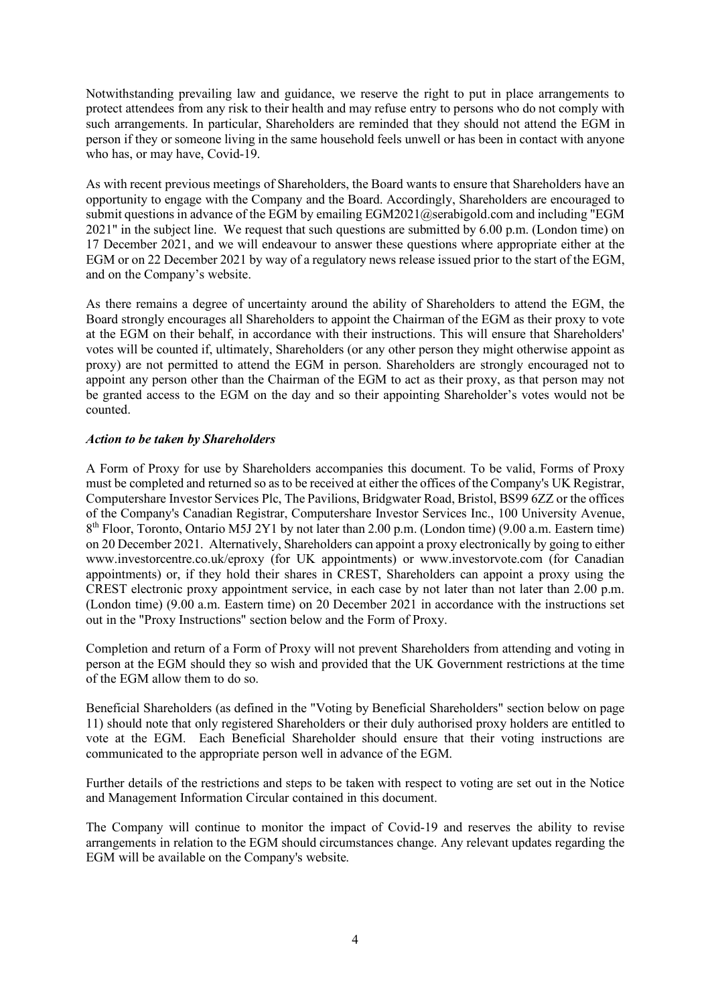Notwithstanding prevailing law and guidance, we reserve the right to put in place arrangements to protect attendees from any risk to their health and may refuse entry to persons who do not comply with such arrangements. In particular, Shareholders are reminded that they should not attend the EGM in person if they or someone living in the same household feels unwell or has been in contact with anyone who has, or may have, Covid-19.

As with recent previous meetings of Shareholders, the Board wants to ensure that Shareholders have an opportunity to engage with the Company and the Board. Accordingly, Shareholders are encouraged to submit questions in advance of the EGM by emailing EGM2021@serabigold.com and including "EGM 2021" in the subject line. We request that such questions are submitted by 6.00 p.m. (London time) on 17 December 2021, and we will endeavour to answer these questions where appropriate either at the EGM or on 22 December 2021 by way of a regulatory news release issued prior to the start of the EGM, and on the Company's website.

As there remains a degree of uncertainty around the ability of Shareholders to attend the EGM, the Board strongly encourages all Shareholders to appoint the Chairman of the EGM as their proxy to vote at the EGM on their behalf, in accordance with their instructions. This will ensure that Shareholders' votes will be counted if, ultimately, Shareholders (or any other person they might otherwise appoint as proxy) are not permitted to attend the EGM in person. Shareholders are strongly encouraged not to appoint any person other than the Chairman of the EGM to act as their proxy, as that person may not be granted access to the EGM on the day and so their appointing Shareholder's votes would not be counted.

## *Action to be taken by Shareholders*

A Form of Proxy for use by Shareholders accompanies this document. To be valid, Forms of Proxy must be completed and returned so as to be received at either the offices of the Company's UK Registrar, Computershare Investor Services Plc, The Pavilions, Bridgwater Road, Bristol, BS99 6ZZ or the offices of the Company's Canadian Registrar, Computershare Investor Services Inc., 100 University Avenue, 8<sup>th</sup> Floor, Toronto, Ontario M5J 2Y1 by not later than 2.00 p.m. (London time) (9.00 a.m. Eastern time) on 20 December 2021. Alternatively, Shareholders can appoint a proxy electronically by going to either www.investorcentre.co.uk/eproxy (for UK appointments) or www.investorvote.com (for Canadian appointments) or, if they hold their shares in CREST, Shareholders can appoint a proxy using the CREST electronic proxy appointment service, in each case by not later than not later than 2.00 p.m. (London time) (9.00 a.m. Eastern time) on 20 December 2021 in accordance with the instructions set out in the "Proxy Instructions" section below and the Form of Proxy.

Completion and return of a Form of Proxy will not prevent Shareholders from attending and voting in person at the EGM should they so wish and provided that the UK Government restrictions at the time of the EGM allow them to do so.

Beneficial Shareholders (as defined in the "Voting by Beneficial Shareholders" section below on page 11) should note that only registered Shareholders or their duly authorised proxy holders are entitled to vote at the EGM. Each Beneficial Shareholder should ensure that their voting instructions are communicated to the appropriate person well in advance of the EGM.

Further details of the restrictions and steps to be taken with respect to voting are set out in the Notice and Management Information Circular contained in this document.

The Company will continue to monitor the impact of Covid-19 and reserves the ability to revise arrangements in relation to the EGM should circumstances change. Any relevant updates regarding the EGM will be available on the Company's website.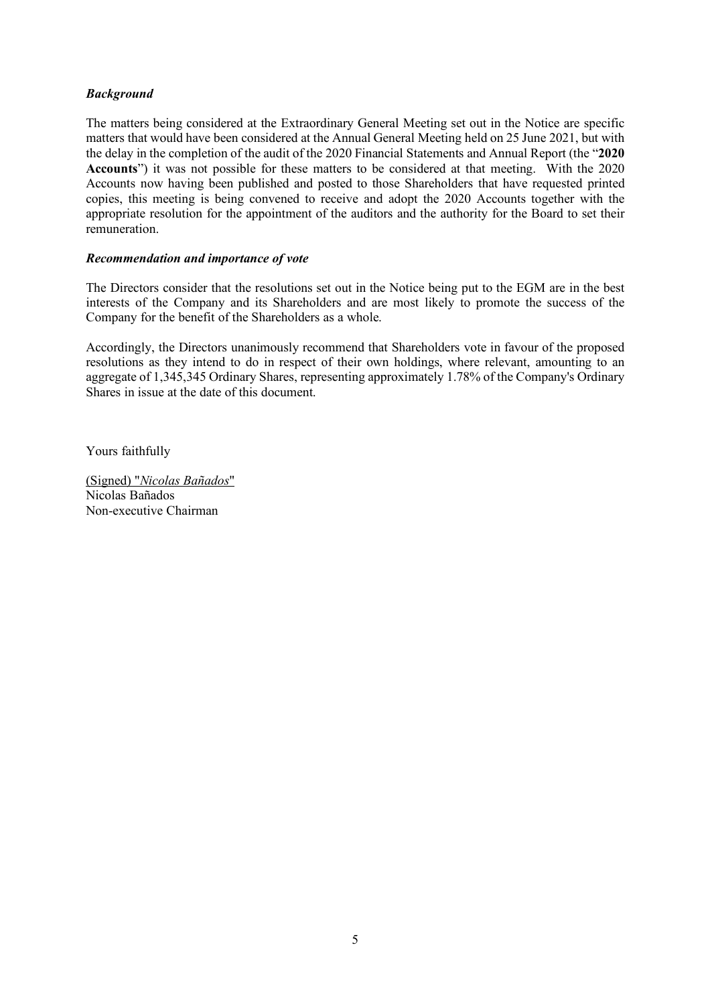## *Background*

The matters being considered at the Extraordinary General Meeting set out in the Notice are specific matters that would have been considered at the Annual General Meeting held on 25 June 2021, but with the delay in the completion of the audit of the 2020 Financial Statements and Annual Report (the "**2020 Accounts**") it was not possible for these matters to be considered at that meeting. With the 2020 Accounts now having been published and posted to those Shareholders that have requested printed copies, this meeting is being convened to receive and adopt the 2020 Accounts together with the appropriate resolution for the appointment of the auditors and the authority for the Board to set their remuneration.

### *Recommendation and importance of vote*

The Directors consider that the resolutions set out in the Notice being put to the EGM are in the best interests of the Company and its Shareholders and are most likely to promote the success of the Company for the benefit of the Shareholders as a whole.

Accordingly, the Directors unanimously recommend that Shareholders vote in favour of the proposed resolutions as they intend to do in respect of their own holdings, where relevant, amounting to an aggregate of 1,345,345 Ordinary Shares, representing approximately 1.78% of the Company's Ordinary Shares in issue at the date of this document.

Yours faithfully

(Signed) "*Nicolas Bañados*" Nicolas Bañados Non-executive Chairman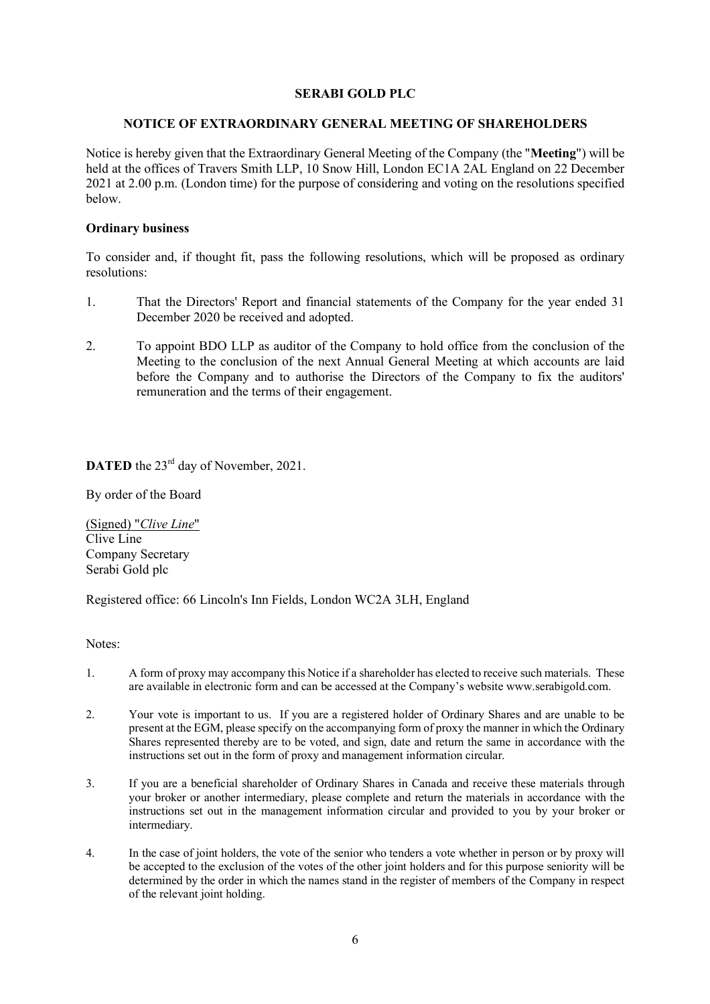### **SERABI GOLD PLC**

### **NOTICE OF EXTRAORDINARY GENERAL MEETING OF SHAREHOLDERS**

Notice is hereby given that the Extraordinary General Meeting of the Company (the "**Meeting**") will be held at the offices of Travers Smith LLP, 10 Snow Hill, London EC1A 2AL England on 22 December 2021 at 2.00 p.m. (London time) for the purpose of considering and voting on the resolutions specified below.

## **Ordinary business**

To consider and, if thought fit, pass the following resolutions, which will be proposed as ordinary resolutions:

- 1. That the Directors' Report and financial statements of the Company for the year ended 31 December 2020 be received and adopted.
- 2. To appoint BDO LLP as auditor of the Company to hold office from the conclusion of the Meeting to the conclusion of the next Annual General Meeting at which accounts are laid before the Company and to authorise the Directors of the Company to fix the auditors' remuneration and the terms of their engagement.

# **DATED** the 23<sup>rd</sup> day of November, 2021.

By order of the Board

(Signed) "*Clive Line*" Clive Line Company Secretary Serabi Gold plc

Registered office: 66 Lincoln's Inn Fields, London WC2A 3LH, England

Notes:

- 1. A form of proxy may accompany this Notice if a shareholder has elected to receive such materials. These are available in electronic form and can be accessed at the Company's website www.serabigold.com.
- 2. Your vote is important to us. If you are a registered holder of Ordinary Shares and are unable to be present at the EGM, please specify on the accompanying form of proxy the manner in which the Ordinary Shares represented thereby are to be voted, and sign, date and return the same in accordance with the instructions set out in the form of proxy and management information circular.
- 3. If you are a beneficial shareholder of Ordinary Shares in Canada and receive these materials through your broker or another intermediary, please complete and return the materials in accordance with the instructions set out in the management information circular and provided to you by your broker or intermediary.
- 4. In the case of joint holders, the vote of the senior who tenders a vote whether in person or by proxy will be accepted to the exclusion of the votes of the other joint holders and for this purpose seniority will be determined by the order in which the names stand in the register of members of the Company in respect of the relevant joint holding.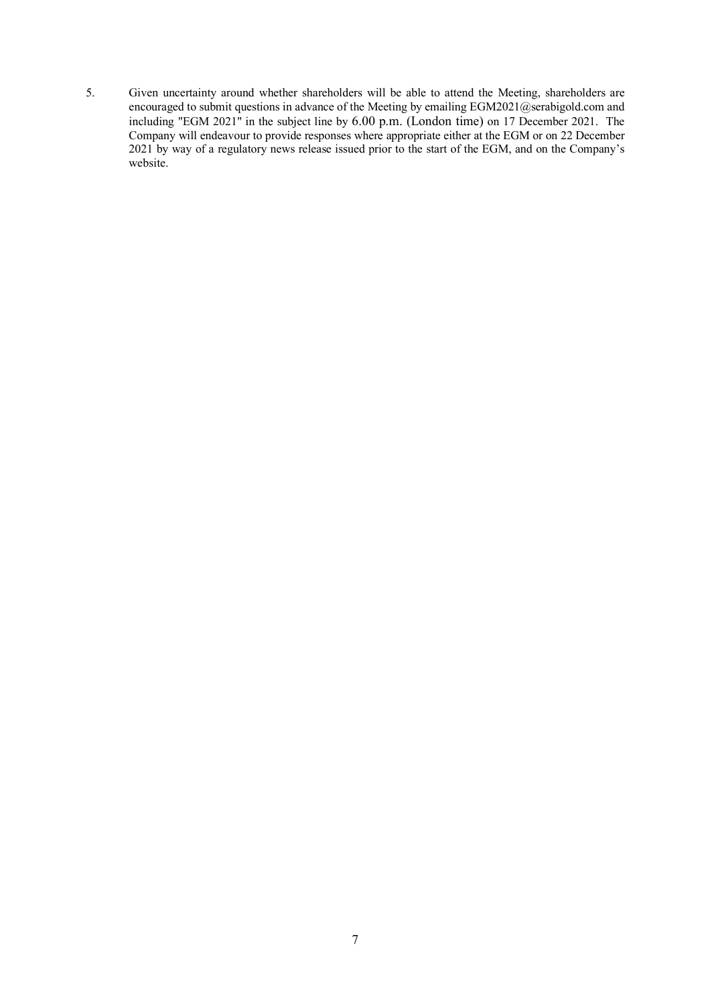5. Given uncertainty around whether shareholders will be able to attend the Meeting, shareholders are encouraged to submit questions in advance of the Meeting by emailing EGM2021@serabigold.com and including "EGM 2021" in the subject line by 6.00 p.m. (London time) on 17 December 2021. The Company will endeavour to provide responses where appropriate either at the EGM or on 22 December 2021 by way of a regulatory news release issued prior to the start of the EGM, and on the Company's website.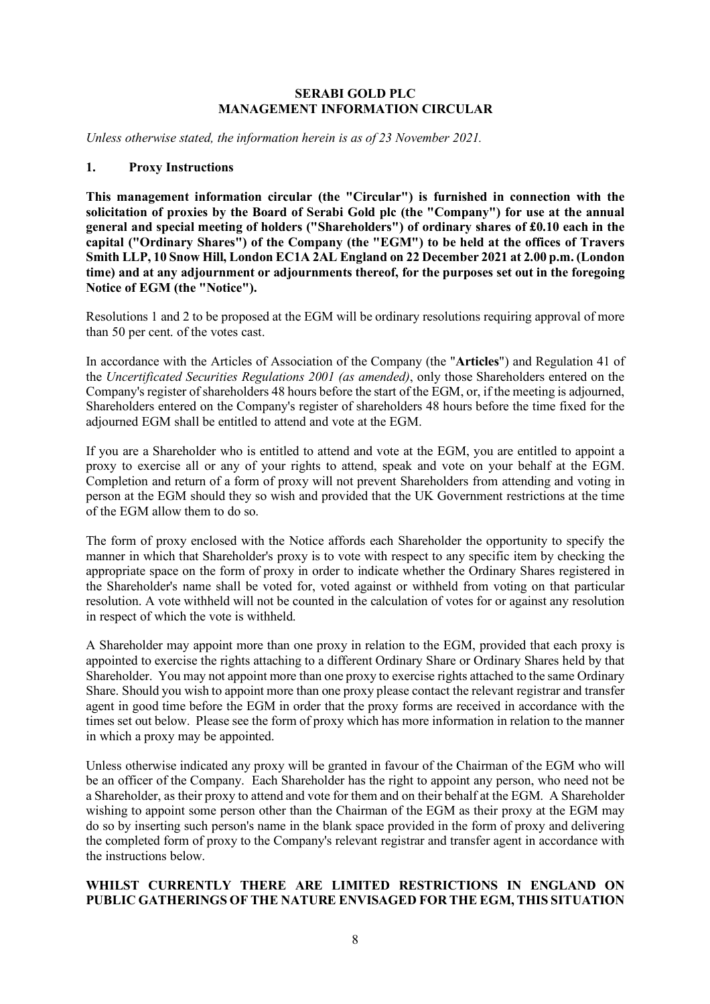## **SERABI GOLD PLC MANAGEMENT INFORMATION CIRCULAR**

*Unless otherwise stated, the information herein is as of 23 November 2021.* 

### **1. Proxy Instructions**

**This management information circular (the "Circular") is furnished in connection with the solicitation of proxies by the Board of Serabi Gold plc (the "Company") for use at the annual general and special meeting of holders ("Shareholders") of ordinary shares of £0.10 each in the capital ("Ordinary Shares") of the Company (the "EGM") to be held at the offices of Travers Smith LLP, 10 Snow Hill, London EC1A 2AL England on 22 December 2021 at 2.00 p.m. (London time) and at any adjournment or adjournments thereof, for the purposes set out in the foregoing Notice of EGM (the "Notice").** 

Resolutions 1 and 2 to be proposed at the EGM will be ordinary resolutions requiring approval of more than 50 per cent. of the votes cast.

In accordance with the Articles of Association of the Company (the "**Articles**") and Regulation 41 of the *Uncertificated Securities Regulations 2001 (as amended)*, only those Shareholders entered on the Company's register of shareholders 48 hours before the start of the EGM, or, if the meeting is adjourned, Shareholders entered on the Company's register of shareholders 48 hours before the time fixed for the adjourned EGM shall be entitled to attend and vote at the EGM.

If you are a Shareholder who is entitled to attend and vote at the EGM, you are entitled to appoint a proxy to exercise all or any of your rights to attend, speak and vote on your behalf at the EGM. Completion and return of a form of proxy will not prevent Shareholders from attending and voting in person at the EGM should they so wish and provided that the UK Government restrictions at the time of the EGM allow them to do so.

The form of proxy enclosed with the Notice affords each Shareholder the opportunity to specify the manner in which that Shareholder's proxy is to vote with respect to any specific item by checking the appropriate space on the form of proxy in order to indicate whether the Ordinary Shares registered in the Shareholder's name shall be voted for, voted against or withheld from voting on that particular resolution. A vote withheld will not be counted in the calculation of votes for or against any resolution in respect of which the vote is withheld.

A Shareholder may appoint more than one proxy in relation to the EGM, provided that each proxy is appointed to exercise the rights attaching to a different Ordinary Share or Ordinary Shares held by that Shareholder. You may not appoint more than one proxy to exercise rights attached to the same Ordinary Share. Should you wish to appoint more than one proxy please contact the relevant registrar and transfer agent in good time before the EGM in order that the proxy forms are received in accordance with the times set out below. Please see the form of proxy which has more information in relation to the manner in which a proxy may be appointed.

Unless otherwise indicated any proxy will be granted in favour of the Chairman of the EGM who will be an officer of the Company. Each Shareholder has the right to appoint any person, who need not be a Shareholder, as their proxy to attend and vote for them and on their behalf at the EGM. A Shareholder wishing to appoint some person other than the Chairman of the EGM as their proxy at the EGM may do so by inserting such person's name in the blank space provided in the form of proxy and delivering the completed form of proxy to the Company's relevant registrar and transfer agent in accordance with the instructions below.

## **WHILST CURRENTLY THERE ARE LIMITED RESTRICTIONS IN ENGLAND ON PUBLIC GATHERINGS OF THE NATURE ENVISAGED FOR THE EGM, THIS SITUATION**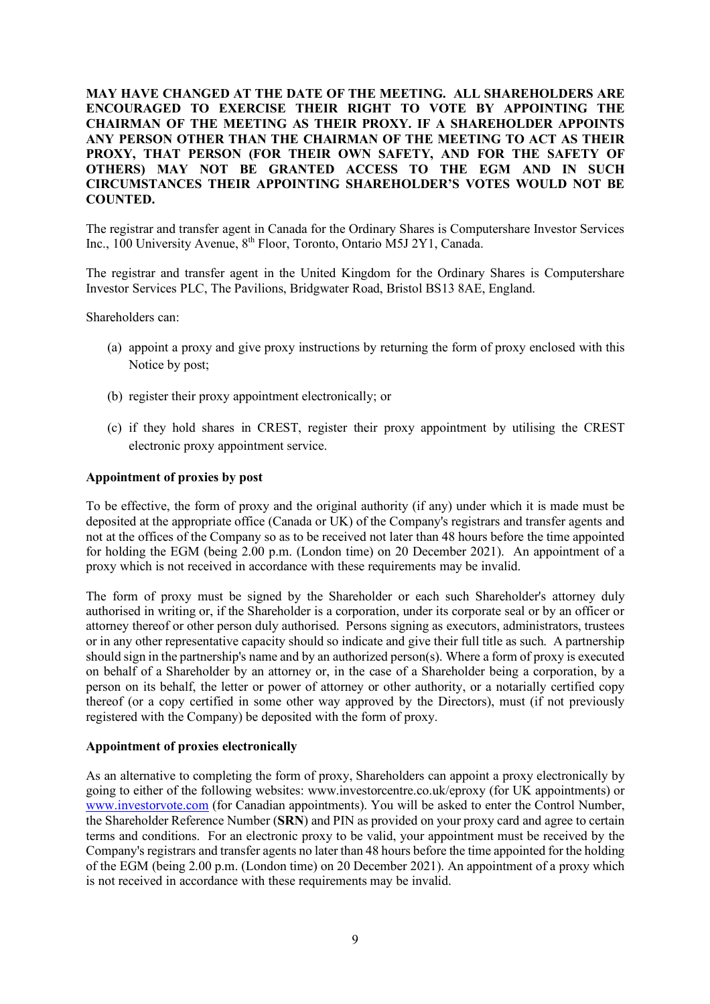**MAY HAVE CHANGED AT THE DATE OF THE MEETING. ALL SHAREHOLDERS ARE ENCOURAGED TO EXERCISE THEIR RIGHT TO VOTE BY APPOINTING THE CHAIRMAN OF THE MEETING AS THEIR PROXY. IF A SHAREHOLDER APPOINTS ANY PERSON OTHER THAN THE CHAIRMAN OF THE MEETING TO ACT AS THEIR PROXY, THAT PERSON (FOR THEIR OWN SAFETY, AND FOR THE SAFETY OF OTHERS) MAY NOT BE GRANTED ACCESS TO THE EGM AND IN SUCH CIRCUMSTANCES THEIR APPOINTING SHAREHOLDER'S VOTES WOULD NOT BE COUNTED.** 

The registrar and transfer agent in Canada for the Ordinary Shares is Computershare Investor Services Inc., 100 University Avenue, 8th Floor, Toronto, Ontario M5J 2Y1, Canada.

The registrar and transfer agent in the United Kingdom for the Ordinary Shares is Computershare Investor Services PLC, The Pavilions, Bridgwater Road, Bristol BS13 8AE, England.

Shareholders can:

- (a) appoint a proxy and give proxy instructions by returning the form of proxy enclosed with this Notice by post;
- (b) register their proxy appointment electronically; or
- (c) if they hold shares in CREST, register their proxy appointment by utilising the CREST electronic proxy appointment service.

### **Appointment of proxies by post**

To be effective, the form of proxy and the original authority (if any) under which it is made must be deposited at the appropriate office (Canada or UK) of the Company's registrars and transfer agents and not at the offices of the Company so as to be received not later than 48 hours before the time appointed for holding the EGM (being 2.00 p.m. (London time) on 20 December 2021). An appointment of a proxy which is not received in accordance with these requirements may be invalid.

The form of proxy must be signed by the Shareholder or each such Shareholder's attorney duly authorised in writing or, if the Shareholder is a corporation, under its corporate seal or by an officer or attorney thereof or other person duly authorised. Persons signing as executors, administrators, trustees or in any other representative capacity should so indicate and give their full title as such. A partnership should sign in the partnership's name and by an authorized person(s). Where a form of proxy is executed on behalf of a Shareholder by an attorney or, in the case of a Shareholder being a corporation, by a person on its behalf, the letter or power of attorney or other authority, or a notarially certified copy thereof (or a copy certified in some other way approved by the Directors), must (if not previously registered with the Company) be deposited with the form of proxy.

#### **Appointment of proxies electronically**

As an alternative to completing the form of proxy, Shareholders can appoint a proxy electronically by going to either of the following websites: www.investorcentre.co.uk/eproxy (for UK appointments) or www.investorvote.com (for Canadian appointments). You will be asked to enter the Control Number, the Shareholder Reference Number (**SRN**) and PIN as provided on your proxy card and agree to certain terms and conditions. For an electronic proxy to be valid, your appointment must be received by the Company's registrars and transfer agents no later than 48 hours before the time appointed for the holding of the EGM (being 2.00 p.m. (London time) on 20 December 2021). An appointment of a proxy which is not received in accordance with these requirements may be invalid.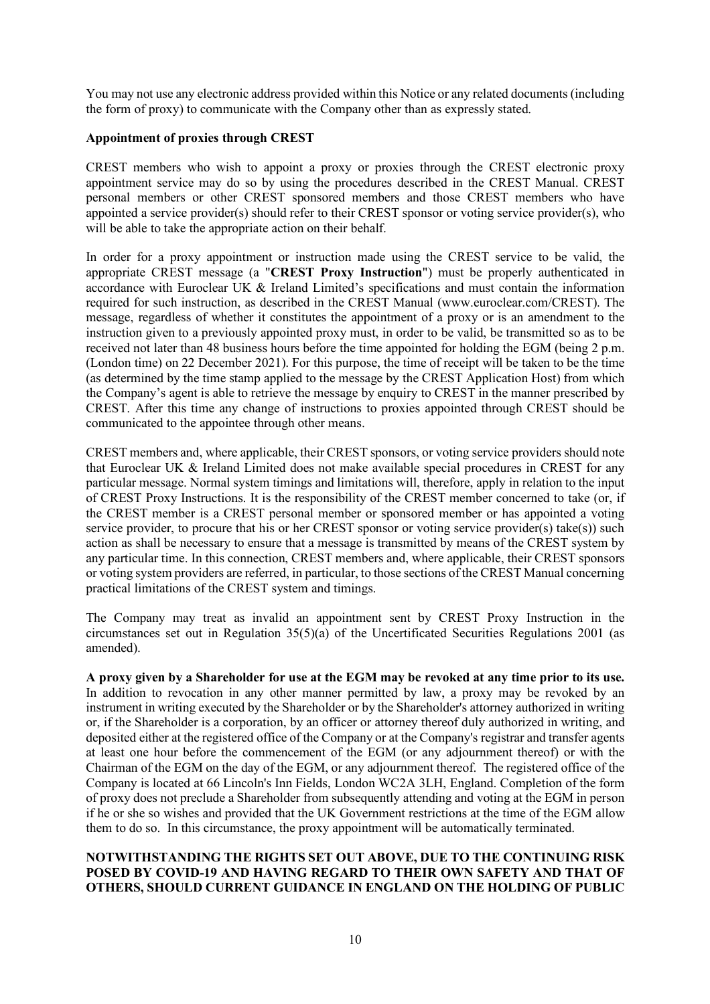You may not use any electronic address provided within this Notice or any related documents (including the form of proxy) to communicate with the Company other than as expressly stated.

### **Appointment of proxies through CREST**

CREST members who wish to appoint a proxy or proxies through the CREST electronic proxy appointment service may do so by using the procedures described in the CREST Manual. CREST personal members or other CREST sponsored members and those CREST members who have appointed a service provider(s) should refer to their CREST sponsor or voting service provider(s), who will be able to take the appropriate action on their behalf.

In order for a proxy appointment or instruction made using the CREST service to be valid, the appropriate CREST message (a "**CREST Proxy Instruction**") must be properly authenticated in accordance with Euroclear UK & Ireland Limited's specifications and must contain the information required for such instruction, as described in the CREST Manual (www.euroclear.com/CREST). The message, regardless of whether it constitutes the appointment of a proxy or is an amendment to the instruction given to a previously appointed proxy must, in order to be valid, be transmitted so as to be received not later than 48 business hours before the time appointed for holding the EGM (being 2 p.m. (London time) on 22 December 2021). For this purpose, the time of receipt will be taken to be the time (as determined by the time stamp applied to the message by the CREST Application Host) from which the Company's agent is able to retrieve the message by enquiry to CREST in the manner prescribed by CREST. After this time any change of instructions to proxies appointed through CREST should be communicated to the appointee through other means.

CREST members and, where applicable, their CREST sponsors, or voting service providers should note that Euroclear UK & Ireland Limited does not make available special procedures in CREST for any particular message. Normal system timings and limitations will, therefore, apply in relation to the input of CREST Proxy Instructions. It is the responsibility of the CREST member concerned to take (or, if the CREST member is a CREST personal member or sponsored member or has appointed a voting service provider, to procure that his or her CREST sponsor or voting service provider(s) take(s)) such action as shall be necessary to ensure that a message is transmitted by means of the CREST system by any particular time. In this connection, CREST members and, where applicable, their CREST sponsors or voting system providers are referred, in particular, to those sections of the CREST Manual concerning practical limitations of the CREST system and timings.

The Company may treat as invalid an appointment sent by CREST Proxy Instruction in the circumstances set out in Regulation 35(5)(a) of the Uncertificated Securities Regulations 2001 (as amended).

**A proxy given by a Shareholder for use at the EGM may be revoked at any time prior to its use.** In addition to revocation in any other manner permitted by law, a proxy may be revoked by an instrument in writing executed by the Shareholder or by the Shareholder's attorney authorized in writing or, if the Shareholder is a corporation, by an officer or attorney thereof duly authorized in writing, and deposited either at the registered office of the Company or at the Company's registrar and transfer agents at least one hour before the commencement of the EGM (or any adjournment thereof) or with the Chairman of the EGM on the day of the EGM, or any adjournment thereof. The registered office of the Company is located at 66 Lincoln's Inn Fields, London WC2A 3LH, England. Completion of the form of proxy does not preclude a Shareholder from subsequently attending and voting at the EGM in person if he or she so wishes and provided that the UK Government restrictions at the time of the EGM allow them to do so. In this circumstance, the proxy appointment will be automatically terminated.

## **NOTWITHSTANDING THE RIGHTS SET OUT ABOVE, DUE TO THE CONTINUING RISK POSED BY COVID-19 AND HAVING REGARD TO THEIR OWN SAFETY AND THAT OF OTHERS, SHOULD CURRENT GUIDANCE IN ENGLAND ON THE HOLDING OF PUBLIC**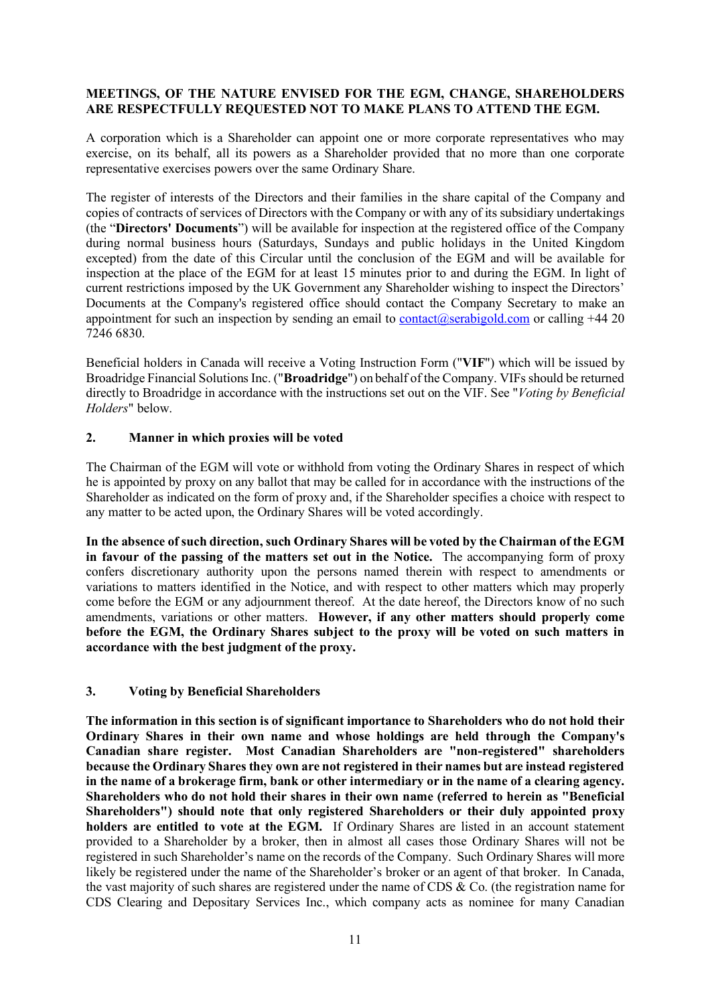## **MEETINGS, OF THE NATURE ENVISED FOR THE EGM, CHANGE, SHAREHOLDERS ARE RESPECTFULLY REQUESTED NOT TO MAKE PLANS TO ATTEND THE EGM.**

A corporation which is a Shareholder can appoint one or more corporate representatives who may exercise, on its behalf, all its powers as a Shareholder provided that no more than one corporate representative exercises powers over the same Ordinary Share.

The register of interests of the Directors and their families in the share capital of the Company and copies of contracts of services of Directors with the Company or with any of its subsidiary undertakings (the "**Directors' Documents**") will be available for inspection at the registered office of the Company during normal business hours (Saturdays, Sundays and public holidays in the United Kingdom excepted) from the date of this Circular until the conclusion of the EGM and will be available for inspection at the place of the EGM for at least 15 minutes prior to and during the EGM. In light of current restrictions imposed by the UK Government any Shareholder wishing to inspect the Directors' Documents at the Company's registered office should contact the Company Secretary to make an appointment for such an inspection by sending an email to contact@serabigold.com or calling  $+44$  20 7246 6830.

Beneficial holders in Canada will receive a Voting Instruction Form ("**VIF**") which will be issued by Broadridge Financial Solutions Inc. ("**Broadridge**") on behalf of the Company. VIFs should be returned directly to Broadridge in accordance with the instructions set out on the VIF. See "*Voting by Beneficial Holders*" below.

## **2. Manner in which proxies will be voted**

The Chairman of the EGM will vote or withhold from voting the Ordinary Shares in respect of which he is appointed by proxy on any ballot that may be called for in accordance with the instructions of the Shareholder as indicated on the form of proxy and, if the Shareholder specifies a choice with respect to any matter to be acted upon, the Ordinary Shares will be voted accordingly.

**In the absence of such direction, such Ordinary Shares will be voted by the Chairman of the EGM in favour of the passing of the matters set out in the Notice.** The accompanying form of proxy confers discretionary authority upon the persons named therein with respect to amendments or variations to matters identified in the Notice, and with respect to other matters which may properly come before the EGM or any adjournment thereof. At the date hereof, the Directors know of no such amendments, variations or other matters. **However, if any other matters should properly come before the EGM, the Ordinary Shares subject to the proxy will be voted on such matters in accordance with the best judgment of the proxy.**

## **3. Voting by Beneficial Shareholders**

**The information in this section is of significant importance to Shareholders who do not hold their Ordinary Shares in their own name and whose holdings are held through the Company's Canadian share register. Most Canadian Shareholders are "non-registered" shareholders because the Ordinary Shares they own are not registered in their names but are instead registered in the name of a brokerage firm, bank or other intermediary or in the name of a clearing agency. Shareholders who do not hold their shares in their own name (referred to herein as "Beneficial Shareholders") should note that only registered Shareholders or their duly appointed proxy holders are entitled to vote at the EGM.** If Ordinary Shares are listed in an account statement provided to a Shareholder by a broker, then in almost all cases those Ordinary Shares will not be registered in such Shareholder's name on the records of the Company. Such Ordinary Shares will more likely be registered under the name of the Shareholder's broker or an agent of that broker. In Canada, the vast majority of such shares are registered under the name of CDS & Co. (the registration name for CDS Clearing and Depositary Services Inc., which company acts as nominee for many Canadian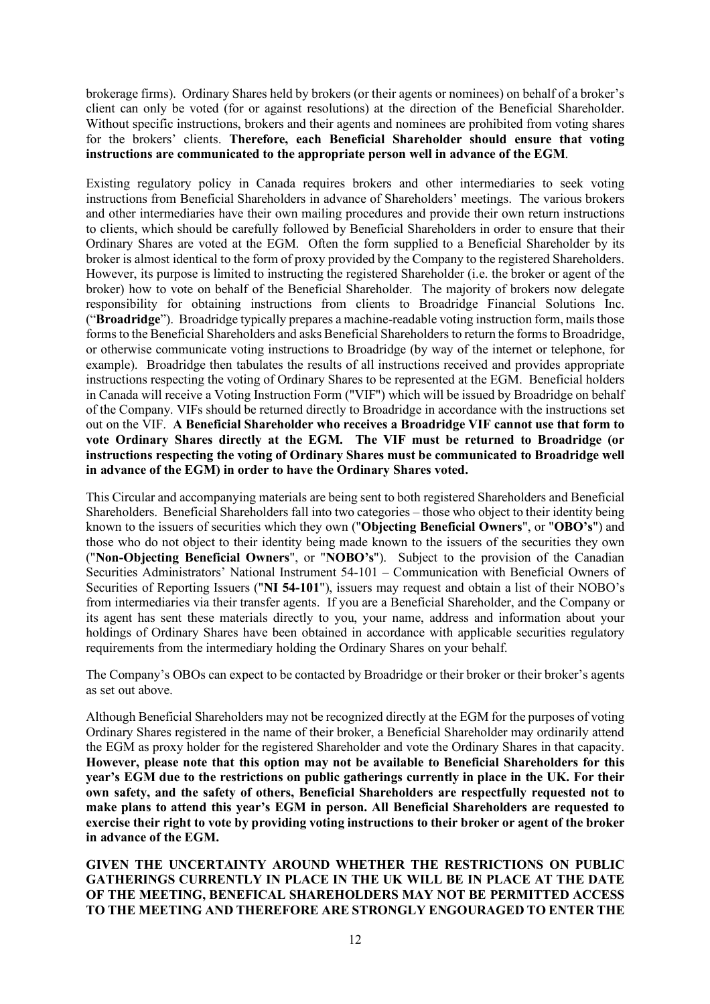brokerage firms). Ordinary Shares held by brokers (or their agents or nominees) on behalf of a broker's client can only be voted (for or against resolutions) at the direction of the Beneficial Shareholder. Without specific instructions, brokers and their agents and nominees are prohibited from voting shares for the brokers' clients. **Therefore, each Beneficial Shareholder should ensure that voting instructions are communicated to the appropriate person well in advance of the EGM**.

Existing regulatory policy in Canada requires brokers and other intermediaries to seek voting instructions from Beneficial Shareholders in advance of Shareholders' meetings. The various brokers and other intermediaries have their own mailing procedures and provide their own return instructions to clients, which should be carefully followed by Beneficial Shareholders in order to ensure that their Ordinary Shares are voted at the EGM. Often the form supplied to a Beneficial Shareholder by its broker is almost identical to the form of proxy provided by the Company to the registered Shareholders. However, its purpose is limited to instructing the registered Shareholder (i.e. the broker or agent of the broker) how to vote on behalf of the Beneficial Shareholder. The majority of brokers now delegate responsibility for obtaining instructions from clients to Broadridge Financial Solutions Inc. ("**Broadridge**"). Broadridge typically prepares a machine-readable voting instruction form, mails those forms to the Beneficial Shareholders and asks Beneficial Shareholders to return the forms to Broadridge, or otherwise communicate voting instructions to Broadridge (by way of the internet or telephone, for example). Broadridge then tabulates the results of all instructions received and provides appropriate instructions respecting the voting of Ordinary Shares to be represented at the EGM. Beneficial holders in Canada will receive a Voting Instruction Form ("VIF") which will be issued by Broadridge on behalf of the Company. VIFs should be returned directly to Broadridge in accordance with the instructions set out on the VIF. **A Beneficial Shareholder who receives a Broadridge VIF cannot use that form to vote Ordinary Shares directly at the EGM. The VIF must be returned to Broadridge (or instructions respecting the voting of Ordinary Shares must be communicated to Broadridge well in advance of the EGM) in order to have the Ordinary Shares voted.**

This Circular and accompanying materials are being sent to both registered Shareholders and Beneficial Shareholders. Beneficial Shareholders fall into two categories – those who object to their identity being known to the issuers of securities which they own ("**Objecting Beneficial Owners**", or "**OBO's**") and those who do not object to their identity being made known to the issuers of the securities they own ("**Non-Objecting Beneficial Owners**", or "**NOBO's**"). Subject to the provision of the Canadian Securities Administrators' National Instrument 54-101 – Communication with Beneficial Owners of Securities of Reporting Issuers ("**NI 54-101**"), issuers may request and obtain a list of their NOBO's from intermediaries via their transfer agents. If you are a Beneficial Shareholder, and the Company or its agent has sent these materials directly to you, your name, address and information about your holdings of Ordinary Shares have been obtained in accordance with applicable securities regulatory requirements from the intermediary holding the Ordinary Shares on your behalf.

The Company's OBOs can expect to be contacted by Broadridge or their broker or their broker's agents as set out above.

Although Beneficial Shareholders may not be recognized directly at the EGM for the purposes of voting Ordinary Shares registered in the name of their broker, a Beneficial Shareholder may ordinarily attend the EGM as proxy holder for the registered Shareholder and vote the Ordinary Shares in that capacity. **However, please note that this option may not be available to Beneficial Shareholders for this year's EGM due to the restrictions on public gatherings currently in place in the UK. For their own safety, and the safety of others, Beneficial Shareholders are respectfully requested not to make plans to attend this year's EGM in person. All Beneficial Shareholders are requested to exercise their right to vote by providing voting instructions to their broker or agent of the broker in advance of the EGM.** 

**GIVEN THE UNCERTAINTY AROUND WHETHER THE RESTRICTIONS ON PUBLIC GATHERINGS CURRENTLY IN PLACE IN THE UK WILL BE IN PLACE AT THE DATE OF THE MEETING, BENEFICAL SHAREHOLDERS MAY NOT BE PERMITTED ACCESS TO THE MEETING AND THEREFORE ARE STRONGLY ENGOURAGED TO ENTER THE**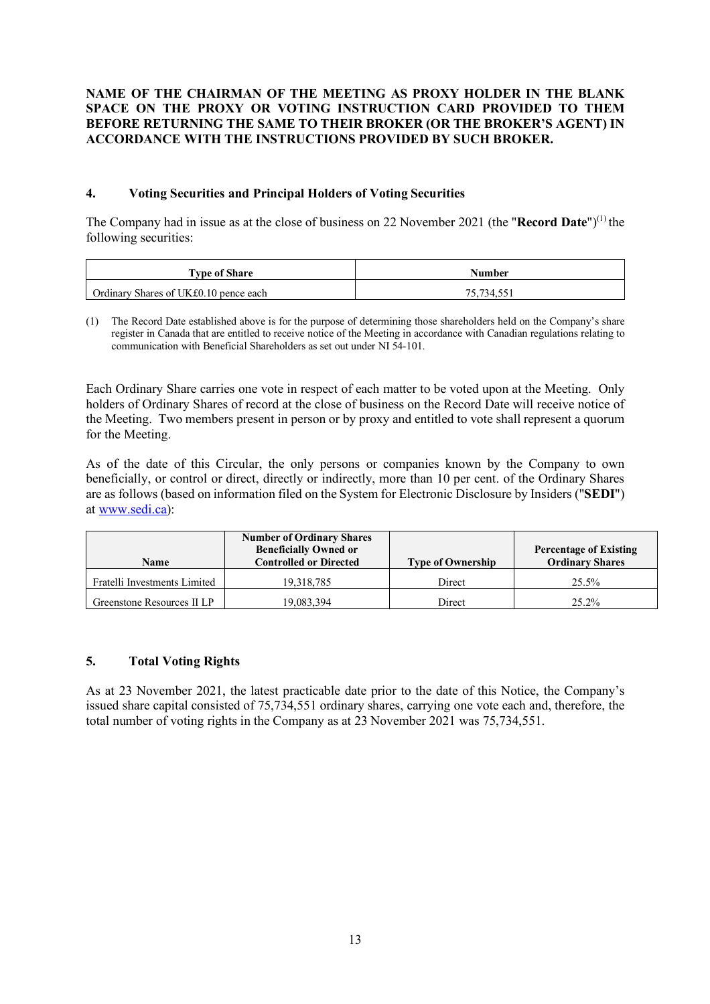## **NAME OF THE CHAIRMAN OF THE MEETING AS PROXY HOLDER IN THE BLANK SPACE ON THE PROXY OR VOTING INSTRUCTION CARD PROVIDED TO THEM BEFORE RETURNING THE SAME TO THEIR BROKER (OR THE BROKER'S AGENT) IN ACCORDANCE WITH THE INSTRUCTIONS PROVIDED BY SUCH BROKER.**

## **4. Voting Securities and Principal Holders of Voting Securities**

The Company had in issue as at the close of business on 22 November 2021 (the "Record Date")<sup>(1)</sup> the following securities:

| <b>Type of Share</b>                  | Number     |  |
|---------------------------------------|------------|--|
| Ordinary Shares of UK£0.10 pence each | 75.734.551 |  |

(1) The Record Date established above is for the purpose of determining those shareholders held on the Company's share register in Canada that are entitled to receive notice of the Meeting in accordance with Canadian regulations relating to communication with Beneficial Shareholders as set out under NI 54-101.

Each Ordinary Share carries one vote in respect of each matter to be voted upon at the Meeting. Only holders of Ordinary Shares of record at the close of business on the Record Date will receive notice of the Meeting. Two members present in person or by proxy and entitled to vote shall represent a quorum for the Meeting.

As of the date of this Circular, the only persons or companies known by the Company to own beneficially, or control or direct, directly or indirectly, more than 10 per cent. of the Ordinary Shares are as follows (based on information filed on the System for Electronic Disclosure by Insiders ("**SEDI**") at www.sedi.ca):

| <b>Name</b>                  | <b>Number of Ordinary Shares</b><br><b>Beneficially Owned or</b><br><b>Controlled or Directed</b> | <b>Type of Ownership</b> | <b>Percentage of Existing</b><br><b>Ordinary Shares</b> |
|------------------------------|---------------------------------------------------------------------------------------------------|--------------------------|---------------------------------------------------------|
| Fratelli Investments Limited | 19.318.785                                                                                        | Direct                   | 25.5%                                                   |
| Greenstone Resources II LP   | 19,083,394                                                                                        | Direct                   | 25.2%                                                   |

## **5. Total Voting Rights**

As at 23 November 2021, the latest practicable date prior to the date of this Notice, the Company's issued share capital consisted of 75,734,551 ordinary shares, carrying one vote each and, therefore, the total number of voting rights in the Company as at 23 November 2021 was 75,734,551.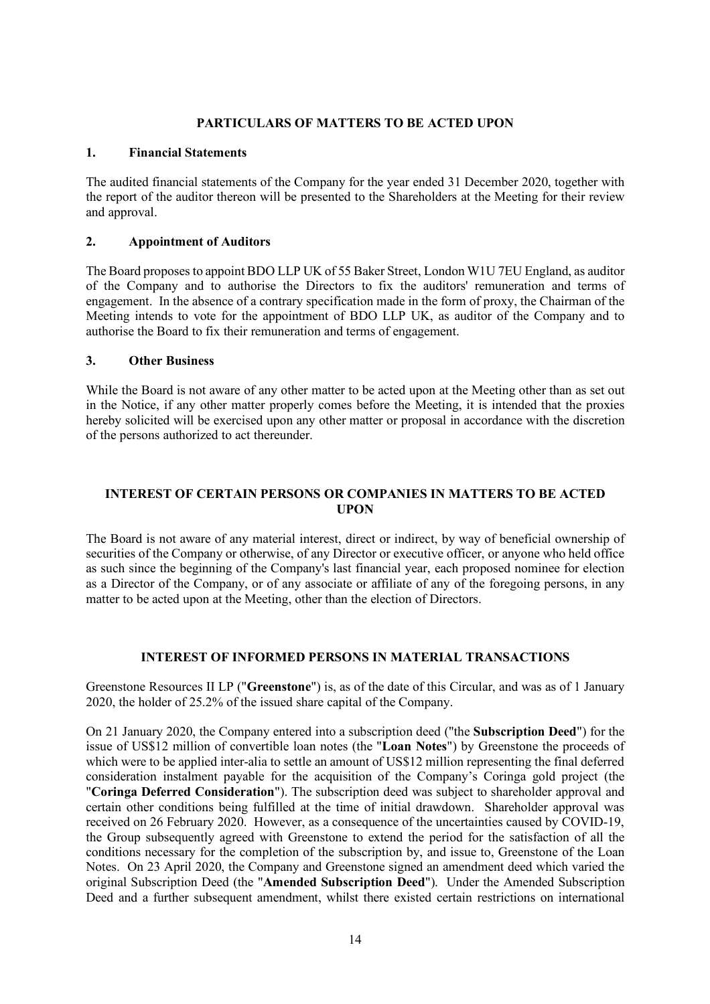### **PARTICULARS OF MATTERS TO BE ACTED UPON**

## **1. Financial Statements**

The audited financial statements of the Company for the year ended 31 December 2020, together with the report of the auditor thereon will be presented to the Shareholders at the Meeting for their review and approval.

## **2. Appointment of Auditors**

The Board proposes to appoint BDO LLP UK of 55 Baker Street, London W1U 7EU England, as auditor of the Company and to authorise the Directors to fix the auditors' remuneration and terms of engagement. In the absence of a contrary specification made in the form of proxy, the Chairman of the Meeting intends to vote for the appointment of BDO LLP UK, as auditor of the Company and to authorise the Board to fix their remuneration and terms of engagement.

## **3. Other Business**

While the Board is not aware of any other matter to be acted upon at the Meeting other than as set out in the Notice, if any other matter properly comes before the Meeting, it is intended that the proxies hereby solicited will be exercised upon any other matter or proposal in accordance with the discretion of the persons authorized to act thereunder.

## **INTEREST OF CERTAIN PERSONS OR COMPANIES IN MATTERS TO BE ACTED UPON**

The Board is not aware of any material interest, direct or indirect, by way of beneficial ownership of securities of the Company or otherwise, of any Director or executive officer, or anyone who held office as such since the beginning of the Company's last financial year, each proposed nominee for election as a Director of the Company, or of any associate or affiliate of any of the foregoing persons, in any matter to be acted upon at the Meeting, other than the election of Directors.

## **INTEREST OF INFORMED PERSONS IN MATERIAL TRANSACTIONS**

Greenstone Resources II LP ("**Greenstone**") is, as of the date of this Circular, and was as of 1 January 2020, the holder of 25.2% of the issued share capital of the Company.

On 21 January 2020, the Company entered into a subscription deed ("the **Subscription Deed**") for the issue of US\$12 million of convertible loan notes (the "**Loan Notes**") by Greenstone the proceeds of which were to be applied inter-alia to settle an amount of US\$12 million representing the final deferred consideration instalment payable for the acquisition of the Company's Coringa gold project (the "**Coringa Deferred Consideration**"). The subscription deed was subject to shareholder approval and certain other conditions being fulfilled at the time of initial drawdown. Shareholder approval was received on 26 February 2020. However, as a consequence of the uncertainties caused by COVID-19, the Group subsequently agreed with Greenstone to extend the period for the satisfaction of all the conditions necessary for the completion of the subscription by, and issue to, Greenstone of the Loan Notes. On 23 April 2020, the Company and Greenstone signed an amendment deed which varied the original Subscription Deed (the "**Amended Subscription Deed**"). Under the Amended Subscription Deed and a further subsequent amendment, whilst there existed certain restrictions on international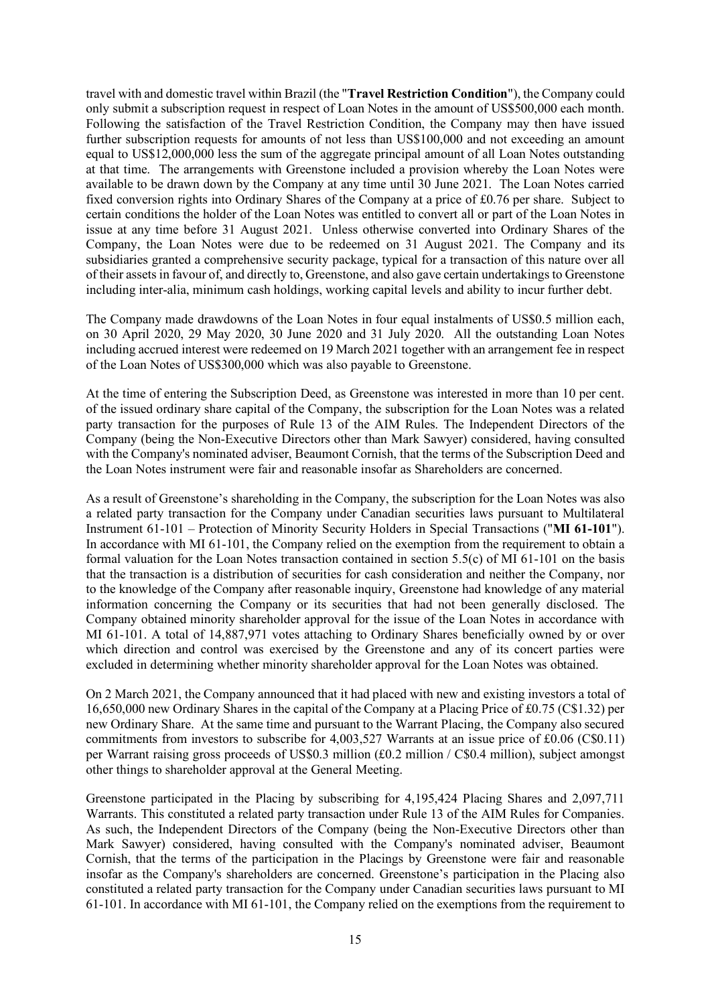travel with and domestic travel within Brazil (the "**Travel Restriction Condition**"), the Company could only submit a subscription request in respect of Loan Notes in the amount of US\$500,000 each month. Following the satisfaction of the Travel Restriction Condition, the Company may then have issued further subscription requests for amounts of not less than US\$100,000 and not exceeding an amount equal to US\$12,000,000 less the sum of the aggregate principal amount of all Loan Notes outstanding at that time. The arrangements with Greenstone included a provision whereby the Loan Notes were available to be drawn down by the Company at any time until 30 June 2021. The Loan Notes carried fixed conversion rights into Ordinary Shares of the Company at a price of £0.76 per share. Subject to certain conditions the holder of the Loan Notes was entitled to convert all or part of the Loan Notes in issue at any time before 31 August 2021. Unless otherwise converted into Ordinary Shares of the Company, the Loan Notes were due to be redeemed on 31 August 2021. The Company and its subsidiaries granted a comprehensive security package, typical for a transaction of this nature over all of their assets in favour of, and directly to, Greenstone, and also gave certain undertakings to Greenstone including inter-alia, minimum cash holdings, working capital levels and ability to incur further debt.

The Company made drawdowns of the Loan Notes in four equal instalments of US\$0.5 million each, on 30 April 2020, 29 May 2020, 30 June 2020 and 31 July 2020. All the outstanding Loan Notes including accrued interest were redeemed on 19 March 2021 together with an arrangement fee in respect of the Loan Notes of US\$300,000 which was also payable to Greenstone.

At the time of entering the Subscription Deed, as Greenstone was interested in more than 10 per cent. of the issued ordinary share capital of the Company, the subscription for the Loan Notes was a related party transaction for the purposes of Rule 13 of the AIM Rules. The Independent Directors of the Company (being the Non-Executive Directors other than Mark Sawyer) considered, having consulted with the Company's nominated adviser, Beaumont Cornish, that the terms of the Subscription Deed and the Loan Notes instrument were fair and reasonable insofar as Shareholders are concerned.

As a result of Greenstone's shareholding in the Company, the subscription for the Loan Notes was also a related party transaction for the Company under Canadian securities laws pursuant to Multilateral Instrument 61-101 – Protection of Minority Security Holders in Special Transactions ("**MI 61-101**"). In accordance with MI 61-101, the Company relied on the exemption from the requirement to obtain a formal valuation for the Loan Notes transaction contained in section 5.5(c) of MI 61-101 on the basis that the transaction is a distribution of securities for cash consideration and neither the Company, nor to the knowledge of the Company after reasonable inquiry, Greenstone had knowledge of any material information concerning the Company or its securities that had not been generally disclosed. The Company obtained minority shareholder approval for the issue of the Loan Notes in accordance with MI 61-101. A total of 14,887,971 votes attaching to Ordinary Shares beneficially owned by or over which direction and control was exercised by the Greenstone and any of its concert parties were excluded in determining whether minority shareholder approval for the Loan Notes was obtained.

On 2 March 2021, the Company announced that it had placed with new and existing investors a total of 16,650,000 new Ordinary Shares in the capital of the Company at a Placing Price of £0.75 (C\$1.32) per new Ordinary Share. At the same time and pursuant to the Warrant Placing, the Company also secured commitments from investors to subscribe for  $4,003,527$  Warrants at an issue price of £0.06 (C\$0.11) per Warrant raising gross proceeds of US\$0.3 million (£0.2 million / C\$0.4 million), subject amongst other things to shareholder approval at the General Meeting.

Greenstone participated in the Placing by subscribing for 4,195,424 Placing Shares and 2,097,711 Warrants. This constituted a related party transaction under Rule 13 of the AIM Rules for Companies. As such, the Independent Directors of the Company (being the Non-Executive Directors other than Mark Sawyer) considered, having consulted with the Company's nominated adviser, Beaumont Cornish, that the terms of the participation in the Placings by Greenstone were fair and reasonable insofar as the Company's shareholders are concerned. Greenstone's participation in the Placing also constituted a related party transaction for the Company under Canadian securities laws pursuant to MI 61-101. In accordance with MI 61-101, the Company relied on the exemptions from the requirement to